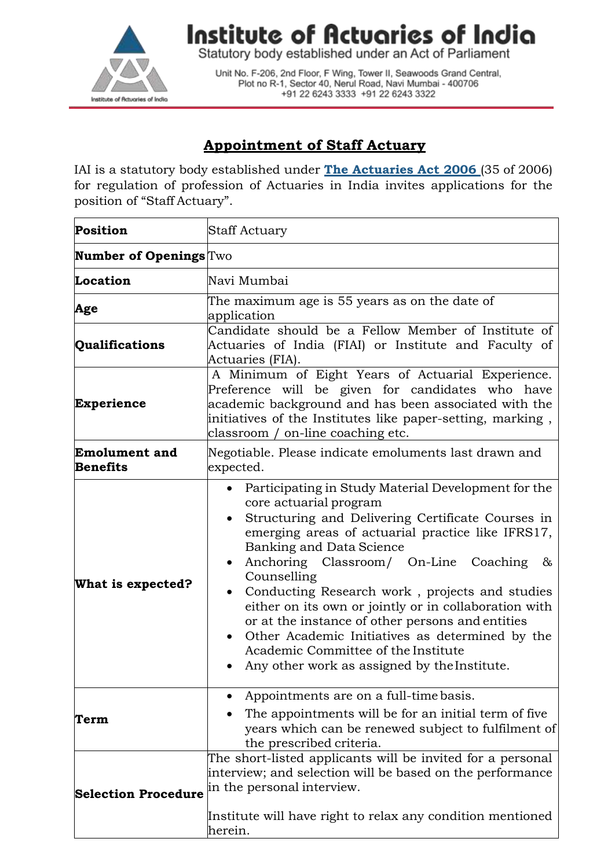

Institute of Actuaries of India

Statutory body established under an Act of Parliament

Unit No. F-206, 2nd Floor, F Wing, Tower II, Seawoods Grand Central, Plot no R-1, Sector 40, Nerul Road, Navi Mumbai - 400706 +91 22 6243 3333 +91 22 6243 3322

## **Appointment of Staff Actuary**

IAI is a statutory body established under **The [Actuaries](http://www.actuariesindia.org/guidance/scanned%20GN.pdf) Act 2006** (35 of 2006) for regulation of profession of Actuaries in India invites applications for the position of "Staff Actuary".

| <b>Position</b>                         | Staff Actuary                                                                                                                                                                                                                                                                                                                                                                                                                                                                                                                                                                                                       |
|-----------------------------------------|---------------------------------------------------------------------------------------------------------------------------------------------------------------------------------------------------------------------------------------------------------------------------------------------------------------------------------------------------------------------------------------------------------------------------------------------------------------------------------------------------------------------------------------------------------------------------------------------------------------------|
| <b>Number of Openings</b> Two           |                                                                                                                                                                                                                                                                                                                                                                                                                                                                                                                                                                                                                     |
| Location                                | Navi Mumbai                                                                                                                                                                                                                                                                                                                                                                                                                                                                                                                                                                                                         |
| Age                                     | The maximum age is 55 years as on the date of<br>application                                                                                                                                                                                                                                                                                                                                                                                                                                                                                                                                                        |
| Qualifications                          | Candidate should be a Fellow Member of Institute of<br>Actuaries of India (FIAI) or Institute and Faculty of<br>Actuaries (FIA).                                                                                                                                                                                                                                                                                                                                                                                                                                                                                    |
| <b>Experience</b>                       | A Minimum of Eight Years of Actuarial Experience.<br>Preference will be given for candidates who have<br>academic background and has been associated with the<br>initiatives of the Institutes like paper-setting, marking,<br>classroom / on-line coaching etc.                                                                                                                                                                                                                                                                                                                                                    |
| <b>Emolument and</b><br><b>Benefits</b> | Negotiable. Please indicate emoluments last drawn and<br>expected.                                                                                                                                                                                                                                                                                                                                                                                                                                                                                                                                                  |
| What is expected?                       | Participating in Study Material Development for the<br>core actuarial program<br>Structuring and Delivering Certificate Courses in<br>emerging areas of actuarial practice like IFRS17,<br>Banking and Data Science<br>Anchoring Classroom/ On-Line Coaching<br>&<br>$\bullet$<br>Counselling<br>Conducting Research work, projects and studies<br>either on its own or jointly or in collaboration with<br>or at the instance of other persons and entities<br>Other Academic Initiatives as determined by the<br>$\bullet$<br>Academic Committee of the Institute<br>Any other work as assigned by the Institute. |
| Term                                    | Appointments are on a full-time basis.<br>The appointments will be for an initial term of five<br>years which can be renewed subject to fulfilment of<br>the prescribed criteria.                                                                                                                                                                                                                                                                                                                                                                                                                                   |
| <b>Selection Procedure</b>              | The short-listed applicants will be invited for a personal<br>interview; and selection will be based on the performance<br>in the personal interview.<br>Institute will have right to relax any condition mentioned<br>herein.                                                                                                                                                                                                                                                                                                                                                                                      |